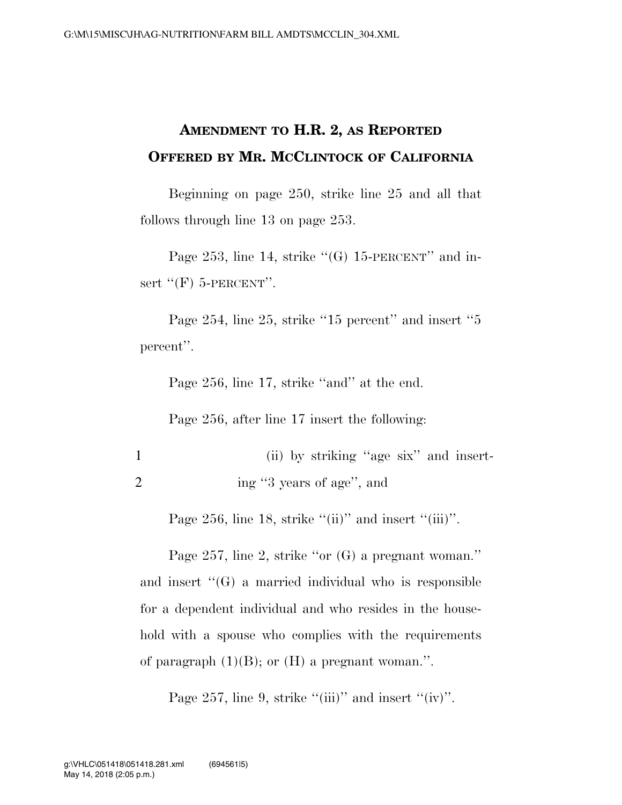## **AMENDMENT TO H.R. 2, AS REPORTED OFFERED BY MR. MCCLINTOCK OF CALIFORNIA**

Beginning on page 250, strike line 25 and all that follows through line 13 on page 253.

Page 253, line 14, strike  $\lq$ (G) 15-PERCENT'' and insert  $"(\mathrm{F})$  5-PERCENT".

Page 254, line 25, strike "15 percent" and insert "5 percent''.

Page 256, line 17, strike "and" at the end.

Page 256, after line 17 insert the following:

1 (ii) by striking ''age six'' and insert-2 ing "3 years of age", and

Page 256, line 18, strike  $"(\text{ii})"$  and insert  $"(\text{iii})".$ 

Page 257, line 2, strike ''or (G) a pregnant woman.'' and insert  $\lq\lq(G)$  a married individual who is responsible for a dependent individual and who resides in the household with a spouse who complies with the requirements of paragraph  $(1)(B)$ ; or  $(H)$  a pregnant woman.".

Page 257, line 9, strike "(iii)" and insert " $(iv)$ ".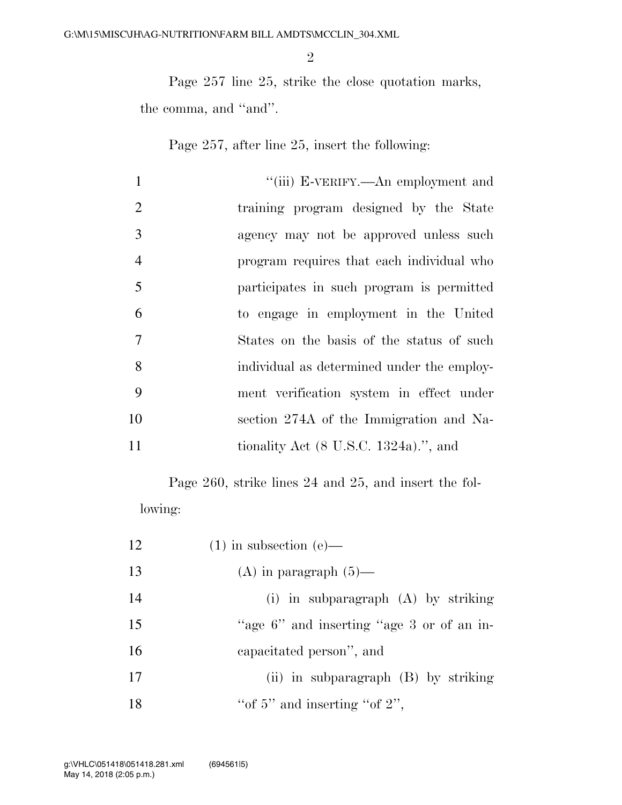Page 257 line 25, strike the close quotation marks, the comma, and ''and''.

Page 257, after line 25, insert the following:

| $\mathbf{1}$<br>"(iii) E-VERIFY.—An employment and          |
|-------------------------------------------------------------|
| 2<br>training program designed by the State                 |
| 3<br>agency may not be approved unless such                 |
| $\overline{4}$<br>program requires that each individual who |
| 5<br>participates in such program is permitted              |
| 6<br>to engage in employment in the United                  |
| $\overline{7}$<br>States on the basis of the status of such |
| 8<br>individual as determined under the employ-             |
| 9<br>ment verification system in effect under               |
| 10<br>section 274A of the Immigration and Na-               |
| 11<br>tionality Act $(8 \text{ U.S.C. } 1324a)$ .", and     |

Page 260, strike lines 24 and 25, and insert the following:

| 12 | $(1)$ in subsection (e)—                  |
|----|-------------------------------------------|
| 13 | (A) in paragraph $(5)$ —                  |
| 14 | (i) in subparagraph $(A)$ by striking     |
| 15 | "age 6" and inserting "age 3 or of an in- |
| 16 | capacitated person", and                  |
| 17 | $(ii)$ in subparagraph $(B)$ by striking  |
| 18 | "of 5" and inserting "of $2$ ",           |